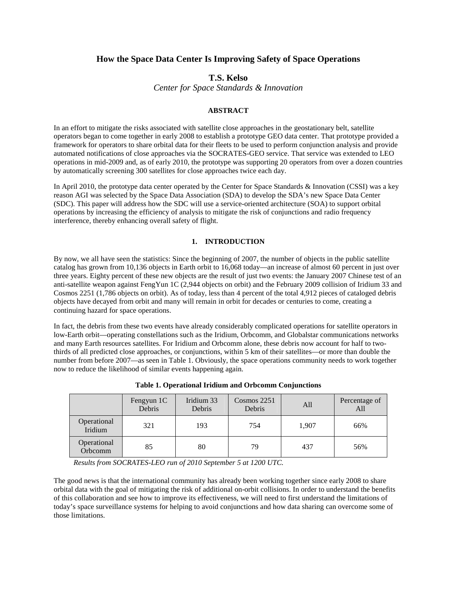# **How the Space Data Center Is Improving Safety of Space Operations**

## **T.S. Kelso**

*Center for Space Standards & Innovation* 

## **ABSTRACT**

In an effort to mitigate the risks associated with satellite close approaches in the geostationary belt, satellite operators began to come together in early 2008 to establish a prototype GEO data center. That prototype provided a framework for operators to share orbital data for their fleets to be used to perform conjunction analysis and provide automated notifications of close approaches via the SOCRATES-GEO service. That service was extended to LEO operations in mid-2009 and, as of early 2010, the prototype was supporting 20 operators from over a dozen countries by automatically screening 300 satellites for close approaches twice each day.

In April 2010, the prototype data center operated by the Center for Space Standards & Innovation (CSSI) was a key reason AGI was selected by the Space Data Association (SDA) to develop the SDA's new Space Data Center (SDC). This paper will address how the SDC will use a service-oriented architecture (SOA) to support orbital operations by increasing the efficiency of analysis to mitigate the risk of conjunctions and radio frequency interference, thereby enhancing overall safety of flight.

### **1. INTRODUCTION**

By now, we all have seen the statistics: Since the beginning of 2007, the number of objects in the public satellite catalog has grown from 10,136 objects in Earth orbit to 16,068 today—an increase of almost 60 percent in just over three years. Eighty percent of these new objects are the result of just two events: the January 2007 Chinese test of an anti-satellite weapon against FengYun 1C (2,944 objects on orbit) and the February 2009 collision of Iridium 33 and Cosmos 2251 (1,786 objects on orbit). As of today, less than 4 percent of the total 4,912 pieces of cataloged debris objects have decayed from orbit and many will remain in orbit for decades or centuries to come, creating a continuing hazard for space operations.

In fact, the debris from these two events have already considerably complicated operations for satellite operators in low-Earth orbit—operating constellations such as the Iridium, Orbcomm, and Globalstar communications networks and many Earth resources satellites. For Iridium and Orbcomm alone, these debris now account for half to twothirds of all predicted close approaches, or conjunctions, within 5 km of their satellites—or more than double the number from before 2007—as seen in Table 1. Obviously, the space operations community needs to work together now to reduce the likelihood of similar events happening again.

|                        | Fengyun 1C<br>Debris | Iridium 33<br>Debris | $Cosmos$ 2251<br>Debris | All   | Percentage of<br>All |
|------------------------|----------------------|----------------------|-------------------------|-------|----------------------|
| Operational<br>Iridium | 321                  | 193                  | 754                     | 1,907 | 66%                  |
| Operational<br>Orbcomm | 85                   | 80                   | 79                      | 437   | 56%                  |

**Table 1. Operational Iridium and Orbcomm Conjunctions** 

*Results from SOCRATES-LEO run of 2010 September 5 at 1200 UTC.* 

The good news is that the international community has already been working together since early 2008 to share orbital data with the goal of mitigating the risk of additional on-orbit collisions. In order to understand the benefits of this collaboration and see how to improve its effectiveness, we will need to first understand the limitations of today's space surveillance systems for helping to avoid conjunctions and how data sharing can overcome some of those limitations.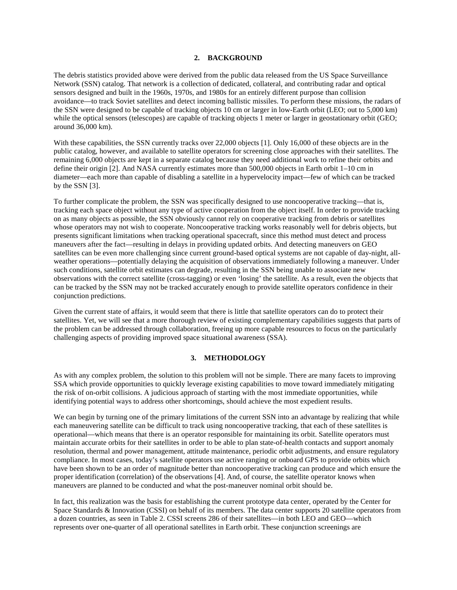### **2. BACKGROUND**

The debris statistics provided above were derived from the public data released from the US Space Surveillance Network (SSN) catalog. That network is a collection of dedicated, collateral, and contributing radar and optical sensors designed and built in the 1960s, 1970s, and 1980s for an entirely different purpose than collision avoidance—to track Soviet satellites and detect incoming ballistic missiles. To perform these missions, the radars of the SSN were designed to be capable of tracking objects 10 cm or larger in low-Earth orbit (LEO; out to 5,000 km) while the optical sensors (telescopes) are capable of tracking objects 1 meter or larger in geostationary orbit (GEO; around 36,000 km).

With these capabilities, the SSN currently tracks over 22,000 objects [1]. Only 16,000 of these objects are in the public catalog, however, and available to satellite operators for screening close approaches with their satellites. The remaining 6,000 objects are kept in a separate catalog because they need additional work to refine their orbits and define their origin [2]. And NASA currently estimates more than 500,000 objects in Earth orbit 1–10 cm in diameter—each more than capable of disabling a satellite in a hypervelocity impact—few of which can be tracked by the SSN [3].

To further complicate the problem, the SSN was specifically designed to use noncooperative tracking—that is, tracking each space object without any type of active cooperation from the object itself. In order to provide tracking on as many objects as possible, the SSN obviously cannot rely on cooperative tracking from debris or satellites whose operators may not wish to cooperate. Noncooperative tracking works reasonably well for debris objects, but presents significant limitations when tracking operational spacecraft, since this method must detect and process maneuvers after the fact—resulting in delays in providing updated orbits. And detecting maneuvers on GEO satellites can be even more challenging since current ground-based optical systems are not capable of day-night, allweather operations—potentially delaying the acquisition of observations immediately following a maneuver. Under such conditions, satellite orbit estimates can degrade, resulting in the SSN being unable to associate new observations with the correct satellite (cross-tagging) or even 'losing' the satellite. As a result, even the objects that can be tracked by the SSN may not be tracked accurately enough to provide satellite operators confidence in their conjunction predictions.

Given the current state of affairs, it would seem that there is little that satellite operators can do to protect their satellites. Yet, we will see that a more thorough review of existing complementary capabilities suggests that parts of the problem can be addressed through collaboration, freeing up more capable resources to focus on the particularly challenging aspects of providing improved space situational awareness (SSA).

#### **3. METHODOLOGY**

As with any complex problem, the solution to this problem will not be simple. There are many facets to improving SSA which provide opportunities to quickly leverage existing capabilities to move toward immediately mitigating the risk of on-orbit collisions. A judicious approach of starting with the most immediate opportunities, while identifying potential ways to address other shortcomings, should achieve the most expedient results.

We can begin by turning one of the primary limitations of the current SSN into an advantage by realizing that while each maneuvering satellite can be difficult to track using noncooperative tracking, that each of these satellites is operational—which means that there is an operator responsible for maintaining its orbit. Satellite operators must maintain accurate orbits for their satellites in order to be able to plan state-of-health contacts and support anomaly resolution, thermal and power management, attitude maintenance, periodic orbit adjustments, and ensure regulatory compliance. In most cases, today's satellite operators use active ranging or onboard GPS to provide orbits which have been shown to be an order of magnitude better than noncooperative tracking can produce and which ensure the proper identification (correlation) of the observations [4]. And, of course, the satellite operator knows when maneuvers are planned to be conducted and what the post-maneuver nominal orbit should be.

In fact, this realization was the basis for establishing the current prototype data center, operated by the Center for Space Standards & Innovation (CSSI) on behalf of its members. The data center supports 20 satellite operators from a dozen countries, as seen in Table 2. CSSI screens 286 of their satellites—in both LEO and GEO—which represents over one-quarter of all operational satellites in Earth orbit. These conjunction screenings are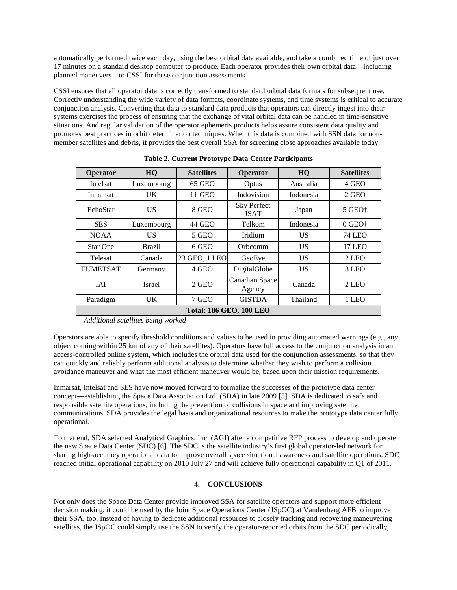automatically performed twice each day, using the best orbital data available, and take a combined time of just over 17 minutes on a standard desktop computer to produce. Each operator provides their own orbital data—including planned maneuvers—to CSSI for these conjunction assessments.

CSSI ensures that all operator data is correctly transformed to standard orbital data formats for subsequent use. Correctly understanding the wide variety of data formats, coordinate systems, and time systems is critical to accurate conjunction analysis. Converting that data to standard data products that operators can directly ingest into their systems exercises the process of ensuring that the exchange of vital orbital data can be handled in time-sensitive situations. And regular validation of the operator ephemeris products helps assure consistent data quality and promotes best practices in orbit determination techniques. When this data is combined with SSN data for nonmember satellites and debris, it provides the best overall SSA for screening close approaches available today.

| Operator                       | HQ            | <b>Satellites</b> | Operator                          | HQ        | <b>Satellites</b>                       |  |  |  |
|--------------------------------|---------------|-------------------|-----------------------------------|-----------|-----------------------------------------|--|--|--|
| Intelsat                       | Luxembourg    | 65 GEO            | Optus                             | Australia | 4 GEO                                   |  |  |  |
| Inmarsat                       | UK.           | 11 GEO            | Indovision                        | Indonesia | 2 GEO                                   |  |  |  |
| EchoStar                       | US            | 8 GEO             | <b>Sky Perfect</b><br><b>JSAT</b> | Japan     | $5$ GEO $\dagger$                       |  |  |  |
| <b>SES</b>                     | Luxembourg    | 44 GEO            | Telkom                            | Indonesia | $0$ GEO <sup><math>\dagger</math></sup> |  |  |  |
| <b>NOAA</b>                    | US            | $5$ GEO           | Iridium                           | US        | <b>74 LEO</b>                           |  |  |  |
| <b>Star One</b>                | <b>Brazil</b> | 6 GEO             | Orbcomm                           | <b>US</b> | <b>17 LEO</b>                           |  |  |  |
| Telesat                        | Canada        | 23 GEO, 1 LEO     | GeoEye                            | US        | 2 LEO                                   |  |  |  |
| <b>EUMETSAT</b>                | Germany       | 4 GEO             | DigitalGlobe                      | <b>US</b> | 3 LEO                                   |  |  |  |
| <b>IAI</b>                     | Israel        | 2 GEO             | Canadian Space<br>Agency          | Canada    | 2 LEO                                   |  |  |  |
| Paradigm                       | UK.           | 7 GEO             | <b>GISTDA</b>                     | Thailand  | 1 LEO                                   |  |  |  |
| <b>Total: 186 GEO, 100 LEO</b> |               |                   |                                   |           |                                         |  |  |  |

**Table 2. Current Prototype Data Center Participants**

†*Additional satellites being worked* 

Operators are able to specify threshold conditions and values to be used in providing automated warnings (e.g., any object coming within 25 km of any of their satellites). Operators have full access to the conjunction analysis in an access-controlled online system, which includes the orbital data used for the conjunction assessments, so that they can quickly and reliably perform additional analysis to determine whether they wish to perform a collision avoidance maneuver and what the most efficient maneuver would be, based upon their mission requirements.

Inmarsat, Intelsat and SES have now moved forward to formalize the successes of the prototype data center concept—establishing the Space Data Association Ltd. (SDA) in late 2009 [5]. SDA is dedicated to safe and responsible satellite operations, including the prevention of collisions in space and improving satellite communications. SDA provides the legal basis and organizational resources to make the prototype data center fully operational.

To that end, SDA selected Analytical Graphics, Inc. (AGI) after a competitive RFP process to develop and operate the new Space Data Center (SDC) [6]. The SDC is the satellite industry's first global operator-led network for sharing high-accuracy operational data to improve overall space situational awareness and satellite operations. SDC reached initial operational capability on 2010 July 27 and will achieve fully operational capability in Q1 of 2011.

## **4. CONCLUSIONS**

Not only does the Space Data Center provide improved SSA for satellite operators and support more efficient decision making, it could be used by the Joint Space Operations Center (JSpOC) at Vandenberg AFB to improve their SSA, too. Instead of having to dedicate additional resources to closely tracking and recovering maneuvering satellites, the JSpOC could simply use the SSN to verify the operator-reported orbits from the SDC periodically,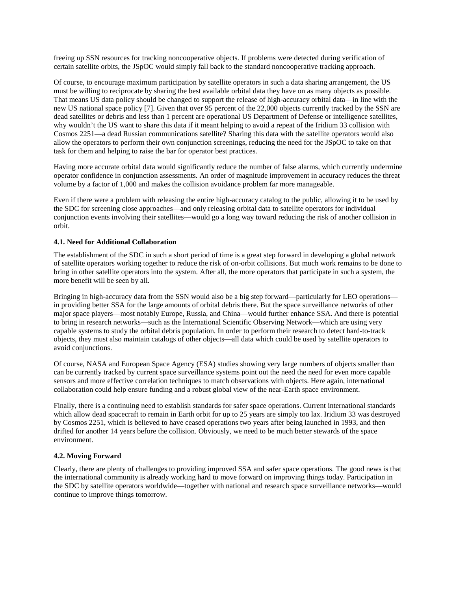freeing up SSN resources for tracking noncooperative objects. If problems were detected during verification of certain satellite orbits, the JSpOC would simply fall back to the standard noncooperative tracking approach.

Of course, to encourage maximum participation by satellite operators in such a data sharing arrangement, the US must be willing to reciprocate by sharing the best available orbital data they have on as many objects as possible. That means US data policy should be changed to support the release of high-accuracy orbital data—in line with the new US national space policy [7]. Given that over 95 percent of the 22,000 objects currently tracked by the SSN are dead satellites or debris and less than 1 percent are operational US Department of Defense or intelligence satellites, why wouldn't the US want to share this data if it meant helping to avoid a repeat of the Iridium 33 collision with Cosmos 2251—a dead Russian communications satellite? Sharing this data with the satellite operators would also allow the operators to perform their own conjunction screenings, reducing the need for the JSpOC to take on that task for them and helping to raise the bar for operator best practices.

Having more accurate orbital data would significantly reduce the number of false alarms, which currently undermine operator confidence in conjunction assessments. An order of magnitude improvement in accuracy reduces the threat volume by a factor of 1,000 and makes the collision avoidance problem far more manageable.

Even if there were a problem with releasing the entire high-accuracy catalog to the public, allowing it to be used by the SDC for screening close approaches—and only releasing orbital data to satellite operators for individual conjunction events involving their satellites—would go a long way toward reducing the risk of another collision in orbit.

## **4.1. Need for Additional Collaboration**

The establishment of the SDC in such a short period of time is a great step forward in developing a global network of satellite operators working together to reduce the risk of on-orbit collisions. But much work remains to be done to bring in other satellite operators into the system. After all, the more operators that participate in such a system, the more benefit will be seen by all.

Bringing in high-accuracy data from the SSN would also be a big step forward—particularly for LEO operations in providing better SSA for the large amounts of orbital debris there. But the space surveillance networks of other major space players—most notably Europe, Russia, and China—would further enhance SSA. And there is potential to bring in research networks—such as the International Scientific Observing Network—which are using very capable systems to study the orbital debris population. In order to perform their research to detect hard-to-track objects, they must also maintain catalogs of other objects—all data which could be used by satellite operators to avoid conjunctions.

Of course, NASA and European Space Agency (ESA) studies showing very large numbers of objects smaller than can be currently tracked by current space surveillance systems point out the need the need for even more capable sensors and more effective correlation techniques to match observations with objects. Here again, international collaboration could help ensure funding and a robust global view of the near-Earth space environment.

Finally, there is a continuing need to establish standards for safer space operations. Current international standards which allow dead spacecraft to remain in Earth orbit for up to 25 years are simply too lax. Iridium 33 was destroyed by Cosmos 2251, which is believed to have ceased operations two years after being launched in 1993, and then drifted for another 14 years before the collision. Obviously, we need to be much better stewards of the space environment.

#### **4.2. Moving Forward**

Clearly, there are plenty of challenges to providing improved SSA and safer space operations. The good news is that the international community is already working hard to move forward on improving things today. Participation in the SDC by satellite operators worldwide—together with national and research space surveillance networks—would continue to improve things tomorrow.